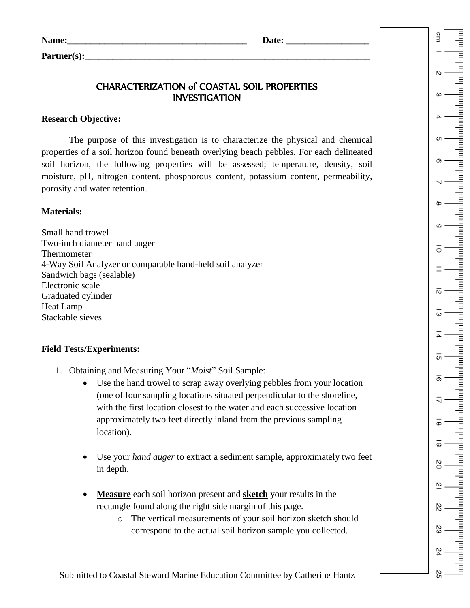| Name: | Date: |
|-------|-------|
|       |       |

Partner(s):

# CHARACTERIZATION of COASTAL SOIL PROPERTIES INVESTIGATION

## **Research Objective:**

The purpose of this investigation is to characterize the physical and chemical properties of a soil horizon found beneath overlying beach pebbles. For each delineated soil horizon, the following properties will be assessed; temperature, density, soil moisture, pH, nitrogen content, phosphorous content, potassium content, permeability, porosity and water retention.

## **Materials:**

Small hand trowel Two-inch diameter hand auger Thermometer 4-Way Soil Analyzer or comparable hand-held soil analyzer Sandwich bags (sealable) Electronic scale Graduated cylinder Heat Lamp Stackable sieves

## **Field Tests/Experiments:**

- 1. Obtaining and Measuring Your "*Moist*" Soil Sample:
	- Use the hand trowel to scrap away overlying pebbles from your location (one of four sampling locations situated perpendicular to the shoreline, with the first location closest to the water and each successive location approximately two feet directly inland from the previous sampling location).
	- Use your *hand auger* to extract a sediment sample, approximately two feet in depth.
	- **Measure** each soil horizon present and **sketch** your results in the rectangle found along the right side margin of this page.
		- o The vertical measurements of your soil horizon sketch should correspond to the actual soil horizon sample you collected.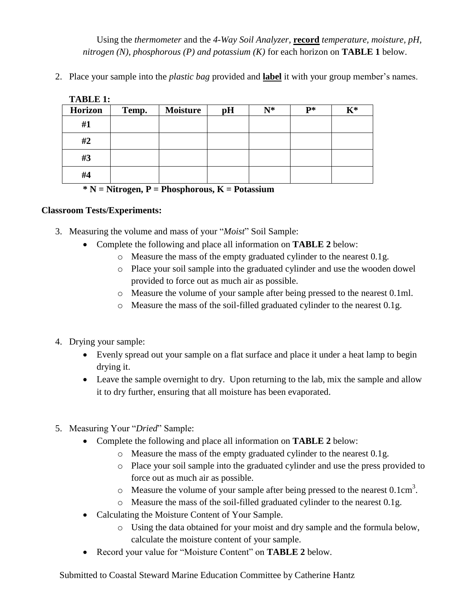Using the *thermometer* and the *4-Way Soil Analyzer,* **record** *temperature, moisture, pH, nitrogen (N), phosphorous (P) and potassium (K)* for each horizon on **TABLE 1** below.

2. Place your sample into the *plastic bag* provided and **label** it with your group member's names.

| <b>TABLE 1:</b>   |       |          |    |       |       |       |
|-------------------|-------|----------|----|-------|-------|-------|
| <b>Horizon</b>    | Temp. | Moisture | pH | $N^*$ | $P^*$ | $K^*$ |
| #1                |       |          |    |       |       |       |
| #2                |       |          |    |       |       |       |
| #3                |       |          |    |       |       |       |
| #4                |       |          |    |       |       |       |
| .<br>$  -$<br>___ |       |          |    |       |       |       |

**\* N = Nitrogen, P = Phosphorous, K = Potassium**

#### **Classroom Tests/Experiments:**

- 3. Measuring the volume and mass of your "*Moist*" Soil Sample:
	- Complete the following and place all information on **TABLE 2** below:
		- o Measure the mass of the empty graduated cylinder to the nearest 0.1g.
		- o Place your soil sample into the graduated cylinder and use the wooden dowel provided to force out as much air as possible.
		- o Measure the volume of your sample after being pressed to the nearest 0.1ml.
		- o Measure the mass of the soil-filled graduated cylinder to the nearest 0.1g.
- 4. Drying your sample:
	- Evenly spread out your sample on a flat surface and place it under a heat lamp to begin drying it.
	- Leave the sample overnight to dry. Upon returning to the lab, mix the sample and allow it to dry further, ensuring that all moisture has been evaporated.
- 5. Measuring Your "*Dried*" Sample:
	- Complete the following and place all information on **TABLE 2** below:
		- o Measure the mass of the empty graduated cylinder to the nearest 0.1g.
		- o Place your soil sample into the graduated cylinder and use the press provided to force out as much air as possible.
		- $\circ$  Measure the volume of your sample after being pressed to the nearest 0.1cm<sup>3</sup>.
		- o Measure the mass of the soil-filled graduated cylinder to the nearest 0.1g.
	- Calculating the Moisture Content of Your Sample.
		- o Using the data obtained for your moist and dry sample and the formula below, calculate the moisture content of your sample.
	- Record your value for "Moisture Content" on **TABLE 2** below.

Submitted to Coastal Steward Marine Education Committee by Catherine Hantz